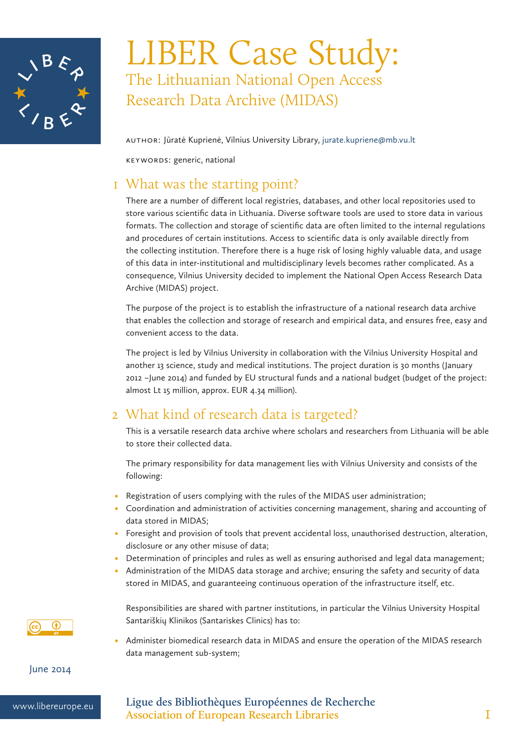

# LIBER Case Study: The Lithuanian National Open Access Research Data Archive (MIDAS)

Author: Jūratė Kuprienė, Vilnius University Library, jurate.kupriene@mb.vu.lt

Keywords: generic, national

### 1 What was the starting point?

There are a number of different local registries, databases, and other local repositories used to store various scientific data in Lithuania. Diverse software tools are used to store data in various formats. The collection and storage of scientific data are often limited to the internal regulations and procedures of certain institutions. Access to scientific data is only available directly from the collecting institution. Therefore there is a huge risk of losing highly valuable data, and usage of this data in inter-institutional and multidisciplinary levels becomes rather complicated. As a consequence, Vilnius University decided to implement the National Open Access Research Data Archive (MIDAS) project.

The purpose of the project is to establish the infrastructure of a national research data archive that enables the collection and storage of research and empirical data, and ensures free, easy and convenient access to the data.

The project is led by Vilnius University in collaboration with the Vilnius University Hospital and another 13 science, study and medical institutions. The project duration is 30 months (January 2012 –June 2014) and funded by EU structural funds and a national budget (budget of the project: almost Lt 15 million, approx. EUR 4.34 million).

## 2 What kind of research data is targeted?

This is a versatile research data archive where scholars and researchers from Lithuania will be able to store their collected data.

The primary responsibility for data management lies with Vilnius University and consists of the following:

- Registration of users complying with the rules of the MIDAS user administration;
- • Coordination and administration of activities concerning management, sharing and accounting of data stored in MIDAS;
- Foresight and provision of tools that prevent accidental loss, unauthorised destruction, alteration, disclosure or any other misuse of data;
- Determination of principles and rules as well as ensuring authorised and legal data management;
- Administration of the MIDAS data storage and archive; ensuring the safety and security of data stored in MIDAS, and guaranteeing continuous operation of the infrastructure itself, etc.



Responsibilities are shared with partner institutions, in particular the Vilnius University Hospital Santariškių Klinikos (Santariskes Clinics) has to:

• Administer biomedical research data in MIDAS and ensure the operation of the MIDAS research data management sub-system;

June 2014

www.libereurope.eu **Ligue des Bibliothèques Européennes de Recherche Association of European Research Libraries** 1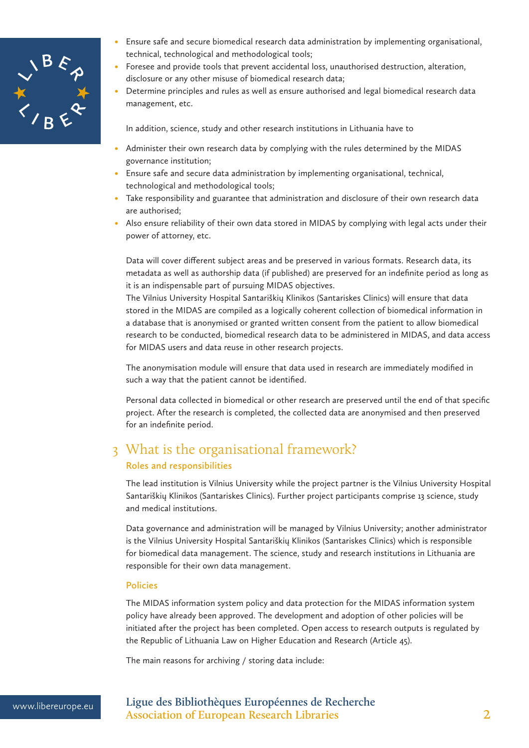

- Ensure safe and secure biomedical research data administration by implementing organisational, technical, technological and methodological tools;
- Foresee and provide tools that prevent accidental loss, unauthorised destruction, alteration, disclosure or any other misuse of biomedical research data;
- • Determine principles and rules as well as ensure authorised and legal biomedical research data management, etc.

In addition, science, study and other research institutions in Lithuania have to

- Administer their own research data by complying with the rules determined by the MIDAS governance institution;
- Ensure safe and secure data administration by implementing organisational, technical, technological and methodological tools;
- Take responsibility and guarantee that administration and disclosure of their own research data are authorised;
- • Also ensure reliability of their own data stored in MIDAS by complying with legal acts under their power of attorney, etc.

Data will cover different subject areas and be preserved in various formats. Research data, its metadata as well as authorship data (if published) are preserved for an indefinite period as long as it is an indispensable part of pursuing MIDAS objectives.

The Vilnius University Hospital Santariškių Klinikos (Santariskes Clinics) will ensure that data stored in the MIDAS are compiled as a logically coherent collection of biomedical information in a database that is anonymised or granted written consent from the patient to allow biomedical research to be conducted, biomedical research data to be administered in MIDAS, and data access for MIDAS users and data reuse in other research projects.

The anonymisation module will ensure that data used in research are immediately modified in such a way that the patient cannot be identified.

Personal data collected in biomedical or other research are preserved until the end of that specific project. After the research is completed, the collected data are anonymised and then preserved for an indefinite period.

# 3 What is the organisational framework?

### **Roles and responsibilities**

The lead institution is Vilnius University while the project partner is the Vilnius University Hospital Santariškių Klinikos (Santariskes Clinics). Further project participants comprise 13 science, study and medical institutions.

Data governance and administration will be managed by Vilnius University; another administrator is the Vilnius University Hospital Santariškių Klinikos (Santariskes Clinics) which is responsible for biomedical data management. The science, study and research institutions in Lithuania are responsible for their own data management.

#### **Policies**

The MIDAS information system policy and data protection for the MIDAS information system policy have already been approved. The development and adoption of other policies will be initiated after the project has been completed. Open access to research outputs is regulated by the Republic of Lithuania Law on Higher Education and Research (Article 45).

The main reasons for archiving / storing data include:

www.libereurope.eu **Ligue des Bibliothèques Européennes de Recherche Association of European Research Libraries** 2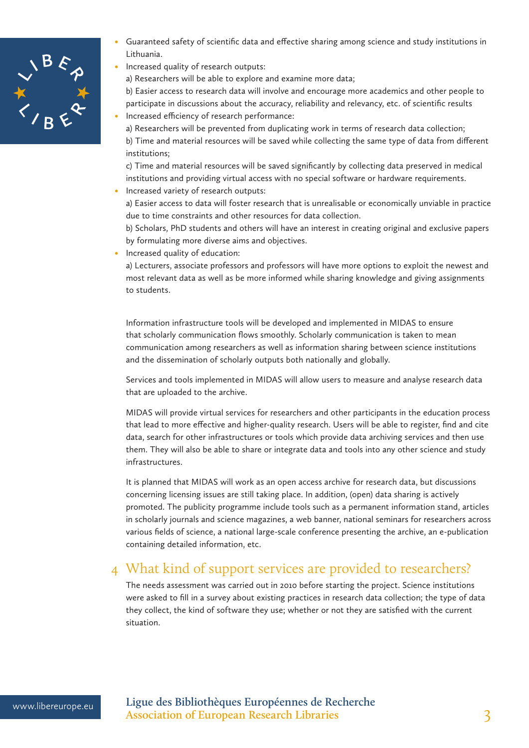

- Guaranteed safety of scientific data and effective sharing among science and study institutions in Lithuania.
- Increased quality of research outputs:

a) Researchers will be able to explore and examine more data;

b) Easier access to research data will involve and encourage more academics and other people to participate in discussions about the accuracy, reliability and relevancy, etc. of scientific results

Increased efficiency of research performance:

a) Researchers will be prevented from duplicating work in terms of research data collection; b) Time and material resources will be saved while collecting the same type of data from different institutions;

c) Time and material resources will be saved significantly by collecting data preserved in medical institutions and providing virtual access with no special software or hardware requirements.

• Increased variety of research outputs:

a) Easier access to data will foster research that is unrealisable or economically unviable in practice due to time constraints and other resources for data collection.

b) Scholars, PhD students and others will have an interest in creating original and exclusive papers by formulating more diverse aims and objectives.

• Increased quality of education:

a) Lecturers, associate professors and professors will have more options to exploit the newest and most relevant data as well as be more informed while sharing knowledge and giving assignments to students.

Information infrastructure tools will be developed and implemented in MIDAS to ensure that scholarly communication flows smoothly. Scholarly communication is taken to mean communication among researchers as well as information sharing between science institutions and the dissemination of scholarly outputs both nationally and globally.

Services and tools implemented in MIDAS will allow users to measure and analyse research data that are uploaded to the archive.

MIDAS will provide virtual services for researchers and other participants in the education process that lead to more effective and higher-quality research. Users will be able to register, find and cite data, search for other infrastructures or tools which provide data archiving services and then use them. They will also be able to share or integrate data and tools into any other science and study infrastructures.

It is planned that MIDAS will work as an open access archive for research data, but discussions concerning licensing issues are still taking place. In addition, (open) data sharing is actively promoted. The publicity programme include tools such as a permanent information stand, articles in scholarly journals and science magazines, a web banner, national seminars for researchers across various fields of science, a national large-scale conference presenting the archive, an e-publication containing detailed information, etc.

# 4 What kind of support services are provided to researchers?

The needs assessment was carried out in 2010 before starting the project. Science institutions were asked to fill in a survey about existing practices in research data collection; the type of data they collect, the kind of software they use; whether or not they are satisfied with the current situation.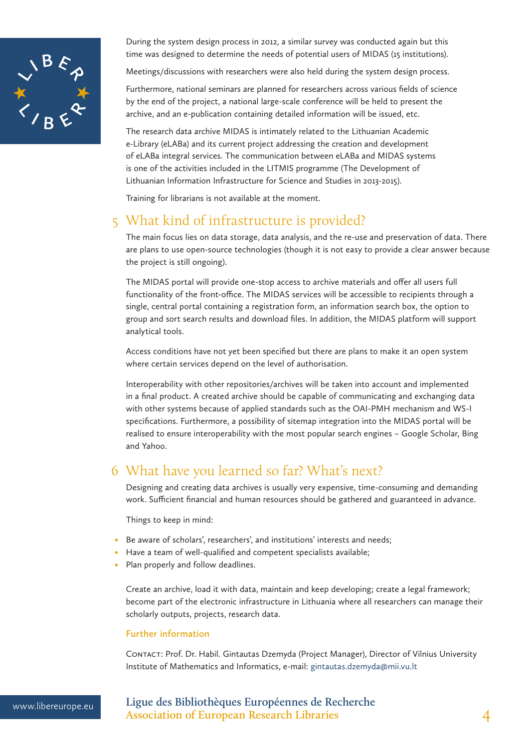

During the system design process in 2012, a similar survey was conducted again but this time was designed to determine the needs of potential users of MIDAS (15 institutions).

Meetings/discussions with researchers were also held during the system design process.

Furthermore, national seminars are planned for researchers across various fields of science by the end of the project, a national large-scale conference will be held to present the archive, and an e-publication containing detailed information will be issued, etc.

The research data archive MIDAS is intimately related to the Lithuanian Academic e-Library (eLABa) and its current project addressing the creation and development of eLABa integral services. The communication between eLABa and MIDAS systems is one of the activities included in the LITMIS programme (The Development of Lithuanian Information Infrastructure for Science and Studies in 2013-2015).

Training for librarians is not available at the moment.

### 5 What kind of infrastructure is provided?

The main focus lies on data storage, data analysis, and the re-use and preservation of data. There are plans to use open-source technologies (though it is not easy to provide a clear answer because the project is still ongoing).

The MIDAS portal will provide one-stop access to archive materials and offer all users full functionality of the front-office. The MIDAS services will be accessible to recipients through a single, central portal containing a registration form, an information search box, the option to group and sort search results and download files. In addition, the MIDAS platform will support analytical tools.

Access conditions have not yet been specified but there are plans to make it an open system where certain services depend on the level of authorisation.

Interoperability with other repositories/archives will be taken into account and implemented in a final product. A created archive should be capable of communicating and exchanging data with other systems because of applied standards such as the OAI-PMH mechanism and WS-I specifications. Furthermore, a possibility of sitemap integration into the MIDAS portal will be realised to ensure interoperability with the most popular search engines – Google Scholar, Bing and Yahoo.

### 6 What have you learned so far? What's next?

Designing and creating data archives is usually very expensive, time-consuming and demanding work. Sufficient financial and human resources should be gathered and guaranteed in advance.

Things to keep in mind:

- Be aware of scholars', researchers', and institutions' interests and needs;
- Have a team of well-qualified and competent specialists available;
- Plan properly and follow deadlines.

Create an archive, load it with data, maintain and keep developing; create a legal framework; become part of the electronic infrastructure in Lithuania where all researchers can manage their scholarly outputs, projects, research data.

#### **Further information**

Contact: Prof. Dr. Habil. Gintautas Dzemyda (Project Manager), Director of Vilnius University Institute of Mathematics and Informatics, e-mail: gintautas.dzemyda@mii.vu.lt

www.libereurope.eu **Ligue des Bibliothèques Européennes de Recherche Association of European Research Libraries** 4